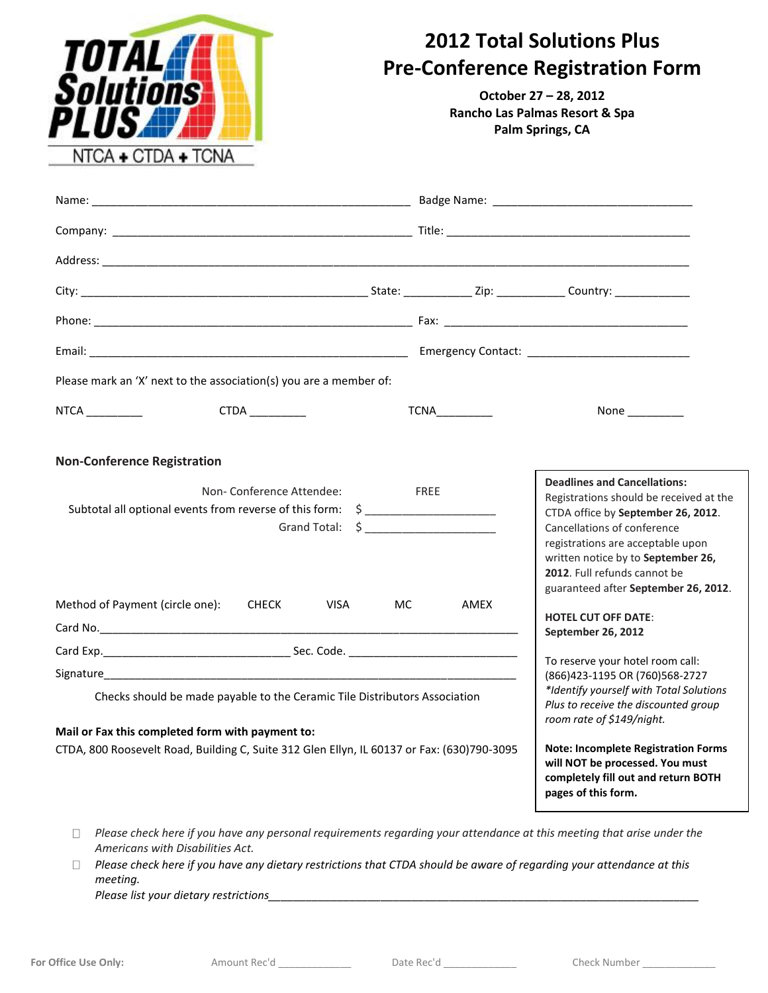

## **2012 Total Solutions Plus Pre-Conference Registration Form**

**October 27 – 28, 2012 Rancho Las Palmas Resort & Spa Palm Springs, CA**

| Please mark an 'X' next to the association(s) you are a member of:                                                                                                                                                                                                                                                                                                                                                                                             |      |                       |                                                                                                                                                                                                                                                                                                                                     |  |  |  |
|----------------------------------------------------------------------------------------------------------------------------------------------------------------------------------------------------------------------------------------------------------------------------------------------------------------------------------------------------------------------------------------------------------------------------------------------------------------|------|-----------------------|-------------------------------------------------------------------------------------------------------------------------------------------------------------------------------------------------------------------------------------------------------------------------------------------------------------------------------------|--|--|--|
|                                                                                                                                                                                                                                                                                                                                                                                                                                                                |      | <b>TCNA__________</b> | None _________                                                                                                                                                                                                                                                                                                                      |  |  |  |
| <b>Non-Conference Registration</b>                                                                                                                                                                                                                                                                                                                                                                                                                             |      |                       |                                                                                                                                                                                                                                                                                                                                     |  |  |  |
| Non-Conference Attendee:<br>Subtotal all optional events from reverse of this form: \$ ______________________<br>Grand Total: $\quad \simeq$ ____________________                                                                                                                                                                                                                                                                                              | FREE |                       | <b>Deadlines and Cancellations:</b><br>Registrations should be received at the<br>CTDA office by September 26, 2012.<br>Cancellations of conference<br>registrations are acceptable upon<br>written notice by to September 26,<br>2012. Full refunds cannot be<br>guaranteed after September 26, 2012.                              |  |  |  |
| Method of Payment (circle one): CHECK VISA                                                                                                                                                                                                                                                                                                                                                                                                                     | MC.  | AMEX                  | <b>HOTEL CUT OFF DATE:</b><br>September 26, 2012                                                                                                                                                                                                                                                                                    |  |  |  |
|                                                                                                                                                                                                                                                                                                                                                                                                                                                                |      |                       |                                                                                                                                                                                                                                                                                                                                     |  |  |  |
| Signature experience and the state of the state of the state of the state of the state of the state of the state of the state of the state of the state of the state of the state of the state of the state of the state of th<br>Checks should be made payable to the Ceramic Tile Distributors Association<br>Mail or Fax this completed form with payment to:<br>CTDA, 800 Roosevelt Road, Building C, Suite 312 Glen Ellyn, IL 60137 or Fax: (630)790-3095 |      |                       | To reserve your hotel room call:<br>(866) 423-1195 OR (760) 568-2727<br>*Identify yourself with Total Solutions<br>Plus to receive the discounted group<br>room rate of \$149/night.<br><b>Note: Incomplete Registration Forms</b><br>will NOT be processed. You must<br>completely fill out and return BOTH<br>pages of this form. |  |  |  |

- *Please check here if you have any personal requirements regarding your attendance at this meeting that arise under the Americans with Disabilities Act.*
- *Please check here if you have any dietary restrictions that CTDA should be aware of regarding your attendance at this meeting.*

*Please list your dietary restrictions\_\_\_\_\_\_\_\_\_\_\_\_\_\_\_\_\_\_\_\_\_\_\_\_\_\_\_\_\_\_\_\_\_\_\_\_\_\_\_\_\_\_\_\_\_\_\_\_\_\_\_\_\_\_\_\_\_\_\_\_\_\_\_\_\_\_\_\_\_*